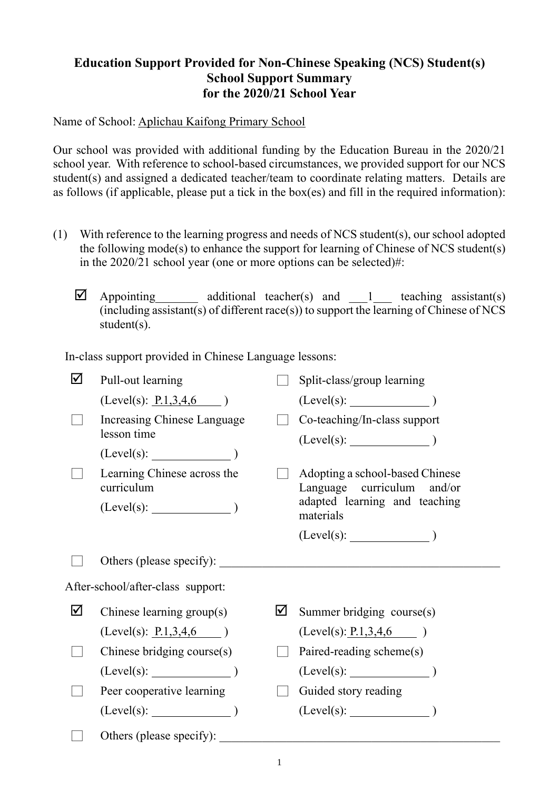## **Education Support Provided for Non-Chinese Speaking (NCS) Student(s) School Support Summary for the 2020/21 School Year**

Name of School: Aplichau Kaifong Primary School

Our school was provided with additional funding by the Education Bureau in the 2020/21 school year. With reference to school-based circumstances, we provided support for our NCS student(s) and assigned a dedicated teacher/team to coordinate relating matters. Details are as follows (if applicable, please put a tick in the box(es) and fill in the required information):

- (1) With reference to the learning progress and needs of NCS student(s), our school adopted the following mode(s) to enhance the support for learning of Chinese of NCS student(s) in the 2020/21 school year (one or more options can be selected)#:
	- $\Box$  Appointing additional teacher(s) and 1 teaching assistant(s)  $(i\text{ including assistant}(s) \text{ of different race}(s))$  to support the learning of Chinese of NCS student(s).

In-class support provided in Chinese Language lessons:

| $(Level(s): \underline{P.1,3,4,6})$<br>Increasing Chinese Language<br>Co-teaching/In-class support<br>lesson time<br>(Level(s):<br>Learning Chinese across the<br>Adopting a school-based Chinese<br>curriculum<br>Language curriculum and/or<br>adapted learning and teaching<br>$(Level(s):$ $)$<br>materials<br>Others (please specify):<br>After-school/after-class support:<br>☑<br>⊻<br>Chinese learning group(s)<br>Summer bridging course(s)<br>$(Level(s): \underline{P.1,3,4,6})$<br>(Level(s): P.1, 3, 4, 6)<br>Chinese bridging course(s)<br>Paired-reading scheme(s)<br>(Level(s):<br>$(Level(s):$ (Level(s):<br>Peer cooperative learning<br>Guided story reading<br>$(Level(s):$ (Level(s): (1)<br>$(Level(s):$ (Level(s):<br>Others (please specify): _____ | ☑ | Pull-out learning |  | Split-class/group learning |  |  |
|-----------------------------------------------------------------------------------------------------------------------------------------------------------------------------------------------------------------------------------------------------------------------------------------------------------------------------------------------------------------------------------------------------------------------------------------------------------------------------------------------------------------------------------------------------------------------------------------------------------------------------------------------------------------------------------------------------------------------------------------------------------------------------|---|-------------------|--|----------------------------|--|--|
|                                                                                                                                                                                                                                                                                                                                                                                                                                                                                                                                                                                                                                                                                                                                                                             |   |                   |  |                            |  |  |
|                                                                                                                                                                                                                                                                                                                                                                                                                                                                                                                                                                                                                                                                                                                                                                             |   |                   |  |                            |  |  |
|                                                                                                                                                                                                                                                                                                                                                                                                                                                                                                                                                                                                                                                                                                                                                                             |   |                   |  |                            |  |  |
|                                                                                                                                                                                                                                                                                                                                                                                                                                                                                                                                                                                                                                                                                                                                                                             |   |                   |  |                            |  |  |
|                                                                                                                                                                                                                                                                                                                                                                                                                                                                                                                                                                                                                                                                                                                                                                             |   |                   |  |                            |  |  |
|                                                                                                                                                                                                                                                                                                                                                                                                                                                                                                                                                                                                                                                                                                                                                                             |   |                   |  |                            |  |  |
|                                                                                                                                                                                                                                                                                                                                                                                                                                                                                                                                                                                                                                                                                                                                                                             |   |                   |  |                            |  |  |
|                                                                                                                                                                                                                                                                                                                                                                                                                                                                                                                                                                                                                                                                                                                                                                             |   |                   |  |                            |  |  |
|                                                                                                                                                                                                                                                                                                                                                                                                                                                                                                                                                                                                                                                                                                                                                                             |   |                   |  |                            |  |  |
|                                                                                                                                                                                                                                                                                                                                                                                                                                                                                                                                                                                                                                                                                                                                                                             |   |                   |  |                            |  |  |
|                                                                                                                                                                                                                                                                                                                                                                                                                                                                                                                                                                                                                                                                                                                                                                             |   |                   |  |                            |  |  |
|                                                                                                                                                                                                                                                                                                                                                                                                                                                                                                                                                                                                                                                                                                                                                                             |   |                   |  |                            |  |  |
|                                                                                                                                                                                                                                                                                                                                                                                                                                                                                                                                                                                                                                                                                                                                                                             |   |                   |  |                            |  |  |
|                                                                                                                                                                                                                                                                                                                                                                                                                                                                                                                                                                                                                                                                                                                                                                             |   |                   |  |                            |  |  |
|                                                                                                                                                                                                                                                                                                                                                                                                                                                                                                                                                                                                                                                                                                                                                                             |   |                   |  |                            |  |  |